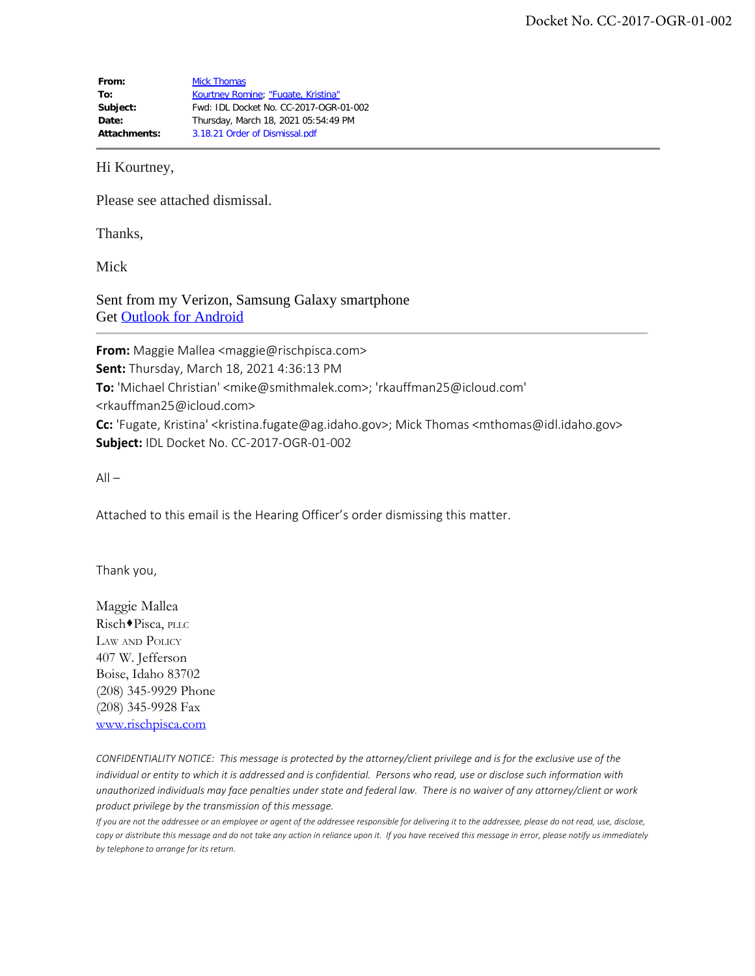From: [Mick Thomas](mailto:/O=EXCHANGELABS/OU=EXCHANGE ADMINISTRATIVE GROUP (FYDIBOHF23SPDLT)/CN=RECIPIENTS/CN=D49CFB9635764477BBF7F34295CEE013-RICHARD THO) **To:** [Kourtney Romine](mailto:kromine@idl.idaho.gov); ["Fugate, Kristina"](mailto:kristina.fugate@ag.idaho.gov) **Subject:** Fwd: IDL Docket No. CC-2017-OGR-01-002 **Date:** Thursday, March 18, 2021 05:54:49 PM **Attachments:** 3.18.21 Order of Dismissal.pdf

Hi Kourtney,

Please see attached dismissal.

Thanks,

Mick

Sent from my Verizon, Samsung Galaxy smartphone Get [Outlook for Android](https://aka.ms/ghei36)

**From:** Maggie Mallea <maggie@rischpisca.com> **Sent:** Thursday, March 18, 2021 4:36:13 PM **To:** 'Michael Christian' <mike@smithmalek.com>; 'rkauffman25@icloud.com' <rkauffman25@icloud.com> **Cc:** 'Fugate, Kristina' <kristina.fugate@ag.idaho.gov>; Mick Thomas <mthomas@idl.idaho.gov> **Subject:** IDL Docket No. CC-2017-OGR-01-002

 $All -$ 

Attached to this email is the Hearing Officer's order dismissing this matter.

Thank you,

Maggie Mallea Risch<sup>+</sup>Pisca, PLLC Law and Policy 407 W. Jefferson Boise, Idaho 83702 (208) 345-9929 Phone (208) 345-9928 Fax [www.rischpisca.com](http://www.rischpisca.com/)

*CONFIDENTIALITY NOTICE: This message is protected by the attorney/client privilege and is for the exclusive use of the individual or entity to which it is addressed and is confidential. Persons who read, use or disclose such information with unauthorized individuals may face penalties under state and federal law. There is no waiver of any attorney/client or work product privilege by the transmission of this message.*

*If you are not the addressee or an employee or agent of the addressee responsible for delivering it to the addressee, please do not read, use, disclose, copy or distribute this message and do not take any action in reliance upon it. If you have received this message in error, please notify us immediately by telephone to arrange for its return.*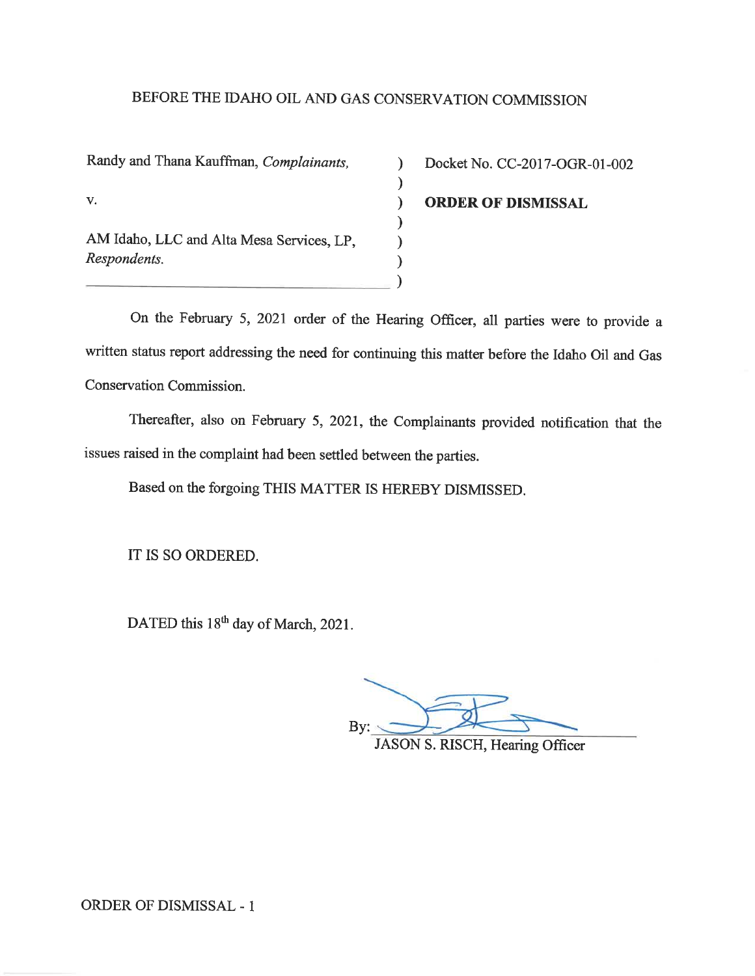## BEFORE THE IDAHO OIL AND GAS CONSERVATION COMMISSION

 $\mathcal{E}$ 

 $\mathcal{E}$ 

 $\mathcal{E}$ 

 $\mathcal{E}$ 

 $\mathcal{E}$ 

 $\lambda$ 

Randy and Thana Kauffman, Complainants, V. AM Idaho, LLC and Alta Mesa Services, LP. Respondents.

Docket No. CC-2017-OGR-01-002 **ORDER OF DISMISSAL** 

On the February 5, 2021 order of the Hearing Officer, all parties were to provide a written status report addressing the need for continuing this matter before the Idaho Oil and Gas Conservation Commission.

Thereafter, also on February 5, 2021, the Complainants provided notification that the issues raised in the complaint had been settled between the parties.

Based on the forgoing THIS MATTER IS HEREBY DISMISSED.

IT IS SO ORDERED.

DATED this 18<sup>th</sup> day of March, 2021.

By:

**JASON S. RISCH, Hearing Officer**